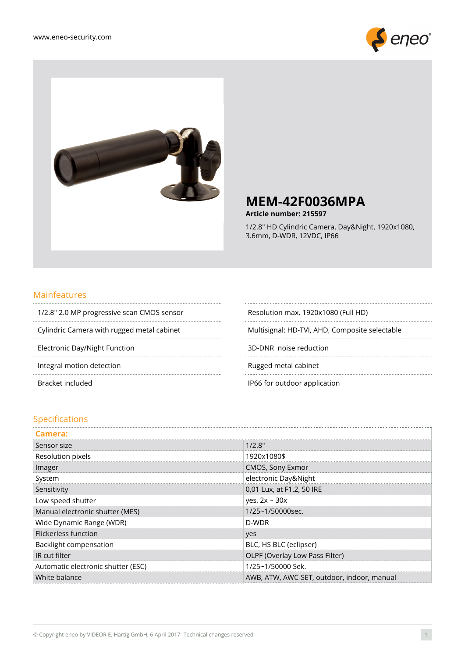



## **MEM-42F0036MPA**

**Article number: 215597**

1/2.8" HD Cylindric Camera, Day&Night, 1920x1080, 3.6mm, D-WDR, 12VDC, IP66

#### Mainfeatures ............................

1/2.8" 2.0 MP progressive scan CMOS sensor Resolution max. 1920x1080 (Full HD) 

Electronic Day/Night Function 3D-DNR noise reduction

Integral motion detection and a set of the control of the Rugged metal cabinet

..........................

..............................

Cylindric Camera with rugged metal cabinet Multisignal: HD-TVI, AHD, Composite selectable

 $\cdots$ 

Bracket included **IP66** for outdoor application

#### Specifications

| Camera:                            |                                            |
|------------------------------------|--------------------------------------------|
| Sensor size                        | 1/2.8"                                     |
| Resolution pixels                  | 1920x1080\$                                |
| Imager                             | CMOS, Sony Exmor                           |
| System                             | electronic Day&Night                       |
| Sensitivity                        | 0,01 Lux, at F1.2, 50 IRE                  |
| Low speed shutter                  | yes, $2x \sim 30x$                         |
| Manual electronic shutter (MES)    | 1/25~1/50000sec.                           |
| Wide Dynamic Range (WDR)           | D-WDR                                      |
| Flickerless function               | yes                                        |
| Backlight compensation             | BLC, HS BLC (eclipser)                     |
| IR cut filter                      | OLPF (Overlay Low Pass Filter)             |
| Automatic electronic shutter (ESC) | 1/25~1/50000 Sek.                          |
| White balance                      | AWB, ATW, AWC-SET, outdoor, indoor, manual |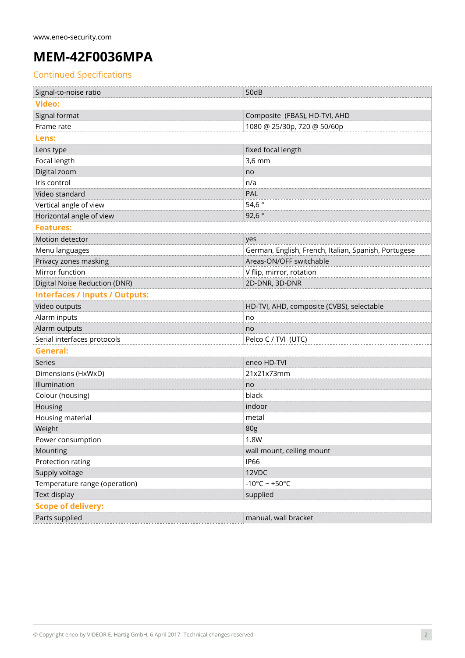# **MEM-42F0036MPA**

## Continued Specifications

| Signal-to-noise ratio                 | 50dB                                                 |
|---------------------------------------|------------------------------------------------------|
| <b>Video:</b>                         |                                                      |
| Signal format                         | Composite (FBAS), HD-TVI, AHD                        |
| Frame rate                            | 1080 @ 25/30p, 720 @ 50/60p                          |
| Lens:                                 |                                                      |
| Lens type                             | fixed focal length                                   |
| Focal length                          | $3,6$ mm                                             |
| Digital zoom                          | no                                                   |
| Iris control                          | n/a                                                  |
| Video standard                        | PAL                                                  |
| Vertical angle of view                | 54,6 $\degree$                                       |
| Horizontal angle of view              | 92,6 $^{\circ}$                                      |
| <b>Features:</b>                      |                                                      |
| Motion detector                       | yes                                                  |
| Menu languages                        | German, English, French, Italian, Spanish, Portugese |
| Privacy zones masking                 | Areas-ON/OFF switchable                              |
| Mirror function                       | V flip, mirror, rotation                             |
| <b>Digital Noise Reduction (DNR)</b>  | 2D-DNR, 3D-DNR                                       |
| <b>Interfaces / Inputs / Outputs:</b> |                                                      |
| Video outputs                         | HD-TVI, AHD, composite (CVBS), selectable            |
| Alarm inputs                          | no                                                   |
| Alarm outputs                         | no                                                   |
| Serial interfaces protocols           | Pelco C / TVI (UTC)                                  |
| <b>General:</b>                       |                                                      |
| Series                                | eneo HD-TVI                                          |
| Dimensions (HxWxD)                    | 21x21x73mm                                           |
| Illumination                          | no                                                   |
| Colour (housing)                      | black                                                |
| Housing                               | indoor                                               |
| Housing material                      | metal                                                |
| Weight                                | 80g                                                  |
| Power consumption                     | 1.8W                                                 |
| Mounting                              | wall mount, ceiling mount                            |
| Protection rating                     | <b>IP66</b>                                          |
| Supply voltage                        | 12VDC                                                |
| Temperature range (operation)         | $-10^{\circ}$ C ~ +50°C                              |
| Text display                          | supplied                                             |
| <b>Scope of delivery:</b>             |                                                      |
| Parts supplied                        | manual, wall bracket                                 |